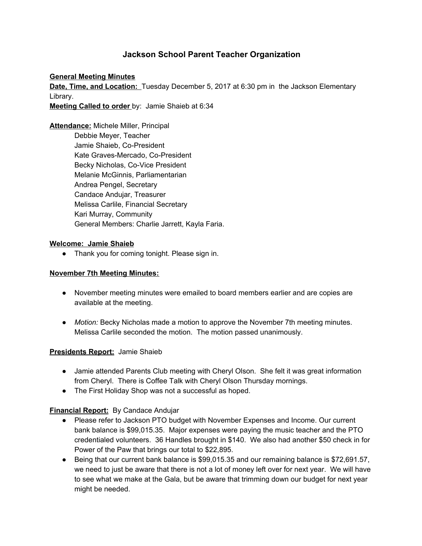# **Jackson School Parent Teacher Organization**

#### **General Meeting Minutes**

**Date, Time, and Location:** Tuesday December 5, 2017 at 6:30 pm in the Jackson Elementary Library.

**Meeting Called to order** by: Jamie Shaieb at 6:34

**Attendance:** Michele Miller, Principal Debbie Meyer, Teacher Jamie Shaieb, Co-President Kate Graves-Mercado, Co-President Becky Nicholas, Co-Vice President Melanie McGinnis, Parliamentarian Andrea Pengel, Secretary Candace Andujar, Treasurer Melissa Carlile, Financial Secretary Kari Murray, Community General Members: Charlie Jarrett, Kayla Faria.

#### **Welcome: Jamie Shaieb**

● Thank you for coming tonight. Please sign in.

#### **November 7th Meeting Minutes:**

- November meeting minutes were emailed to board members earlier and are copies are available at the meeting.
- *Motion:* Becky Nicholas made a motion to approve the November 7th meeting minutes. Melissa Carlile seconded the motion. The motion passed unanimously.

#### **Presidents Report:** Jamie Shaieb

- Jamie attended Parents Club meeting with Cheryl Olson. She felt it was great information from Cheryl. There is Coffee Talk with Cheryl Olson Thursday mornings.
- The First Holiday Shop was not a successful as hoped.

# **Financial Report:** By Candace Andujar

- Please refer to Jackson PTO budget with November Expenses and Income. Our current bank balance is \$99,015.35. Major expenses were paying the music teacher and the PTO credentialed volunteers. 36 Handles brought in \$140. We also had another \$50 check in for Power of the Paw that brings our total to \$22,895.
- Being that our current bank balance is \$99,015.35 and our remaining balance is \$72,691.57, we need to just be aware that there is not a lot of money left over for next year. We will have to see what we make at the Gala, but be aware that trimming down our budget for next year might be needed.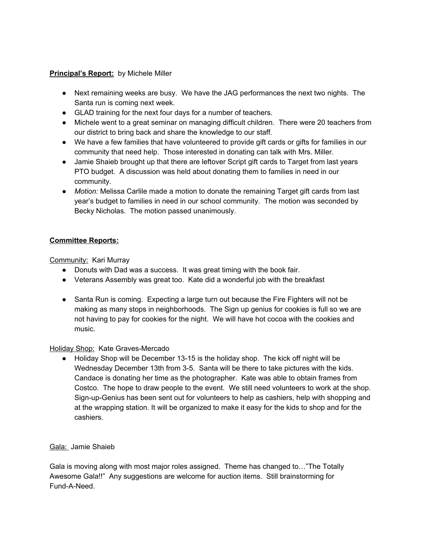# **Principal's Report:** by Michele Miller

- Next remaining weeks are busy. We have the JAG performances the next two nights. The Santa run is coming next week.
- GLAD training for the next four days for a number of teachers.
- Michele went to a great seminar on managing difficult children. There were 20 teachers from our district to bring back and share the knowledge to our staff.
- We have a few families that have volunteered to provide gift cards or gifts for families in our community that need help. Those interested in donating can talk with Mrs. Miller.
- Jamie Shaieb brought up that there are leftover Script gift cards to Target from last years PTO budget. A discussion was held about donating them to families in need in our community.
- *Motion:* Melissa Carlile made a motion to donate the remaining Target gift cards from last year's budget to families in need in our school community. The motion was seconded by Becky Nicholas. The motion passed unanimously.

# **Committee Reports:**

Community: Kari Murray

- Donuts with Dad was a success. It was great timing with the book fair.
- Veterans Assembly was great too. Kate did a wonderful job with the breakfast
- Santa Run is coming. Expecting a large turn out because the Fire Fighters will not be making as many stops in neighborhoods. The Sign up genius for cookies is full so we are not having to pay for cookies for the night. We will have hot cocoa with the cookies and music.

# Holiday Shop: Kate Graves-Mercado

● Holiday Shop will be December 13-15 is the holiday shop. The kick off night will be Wednesday December 13th from 3-5. Santa will be there to take pictures with the kids. Candace is donating her time as the photographer. Kate was able to obtain frames from Costco. The hope to draw people to the event. We still need volunteers to work at the shop. Sign-up-Genius has been sent out for volunteers to help as cashiers, help with shopping and at the wrapping station. It will be organized to make it easy for the kids to shop and for the cashiers.

# Gala: Jamie Shaieb

Gala is moving along with most major roles assigned. Theme has changed to…"The Totally Awesome Gala!!" Any suggestions are welcome for auction items. Still brainstorming for Fund-A-Need.